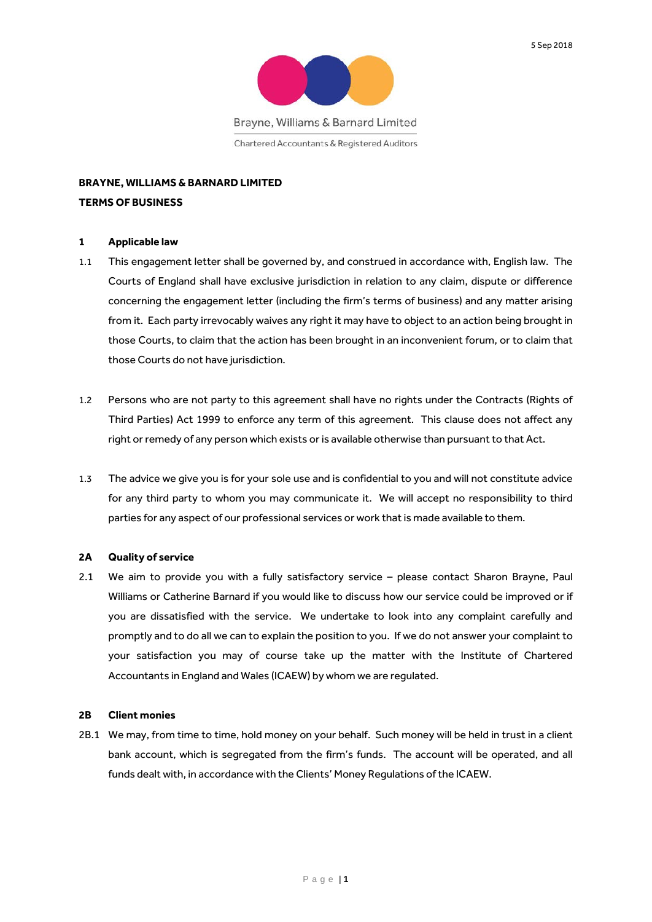

# **BRAYNE, WILLIAMS & BARNARD LIMITED TERMS OF BUSINESS**

#### **1 Applicable law**

- 1.1 This engagement letter shall be governed by, and construed in accordance with, English law. The Courts of England shall have exclusive jurisdiction in relation to any claim, dispute or difference concerning the engagement letter (including the firm's terms of business) and any matter arising from it. Each party irrevocably waives any right it may have to object to an action being brought in those Courts, to claim that the action has been brought in an inconvenient forum, or to claim that those Courts do not have jurisdiction.
- 1.2 Persons who are not party to this agreement shall have no rights under the Contracts (Rights of Third Parties) Act 1999 to enforce any term of this agreement. This clause does not affect any right or remedy of any person which exists or is available otherwise than pursuant to that Act.
- 1.3 The advice we give you is for your sole use and is confidential to you and will not constitute advice for any third party to whom you may communicate it. We will accept no responsibility to third parties for any aspect of our professional services or work that is made available to them.

#### **2A Quality of service**

2.1 We aim to provide you with a fully satisfactory service – please contact Sharon Brayne, Paul Williams or Catherine Barnard if you would like to discuss how our service could be improved or if you are dissatisfied with the service. We undertake to look into any complaint carefully and promptly and to do all we can to explain the position to you. If we do not answer your complaint to your satisfaction you may of course take up the matter with the Institute of Chartered Accountants in England and Wales (ICAEW) by whom we are regulated.

# **2B Client monies**

2B.1 We may, from time to time, hold money on your behalf. Such money will be held in trust in a client bank account, which is segregated from the firm's funds. The account will be operated, and all funds dealt with, in accordance with the Clients' Money Regulations of the ICAEW.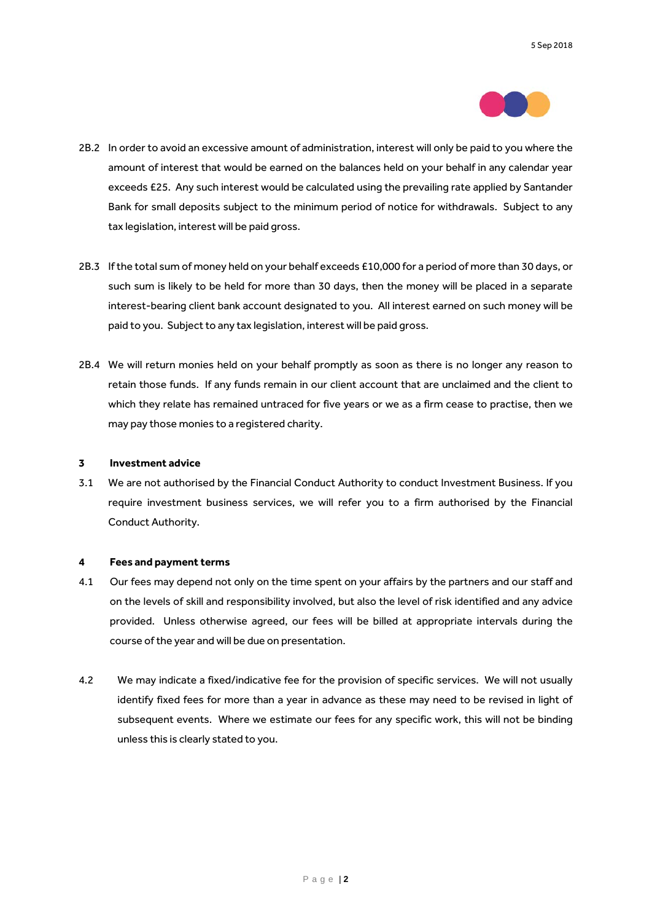

- 2B.2 In order to avoid an excessive amount of administration, interest will only be paid to you where the amount of interest that would be earned on the balances held on your behalf in any calendar year exceeds £25. Any such interest would be calculated using the prevailing rate applied by Santander Bank for small deposits subject to the minimum period of notice for withdrawals. Subject to any tax legislation, interest will be paid gross.
- 2B.3 If the total sum of money held on your behalf exceeds £10,000 for a period of more than 30 days, or such sum is likely to be held for more than 30 days, then the money will be placed in a separate interest-bearing client bank account designated to you. All interest earned on such money will be paid to you. Subject to any tax legislation, interest will be paid gross.
- 2B.4 We will return monies held on your behalf promptly as soon as there is no longer any reason to retain those funds. If any funds remain in our client account that are unclaimed and the client to which they relate has remained untraced for five years or we as a firm cease to practise, then we may pay those monies to a registered charity.

#### **3 Investment advice**

3.1 We are not authorised by the Financial Conduct Authority to conduct Investment Business. If you require investment business services, we will refer you to a firm authorised by the Financial Conduct Authority.

#### **4 Fees and payment terms**

- 4.1 Our fees may depend not only on the time spent on your affairs by the partners and our staff and on the levels of skill and responsibility involved, but also the level of risk identified and any advice provided. Unless otherwise agreed, our fees will be billed at appropriate intervals during the course of the year and will be due on presentation.
- 4.2 We may indicate a fixed/indicative fee for the provision of specific services. We will not usually identify fixed fees for more than a year in advance as these may need to be revised in light of subsequent events. Where we estimate our fees for any specific work, this will not be binding unless this is clearly stated to you.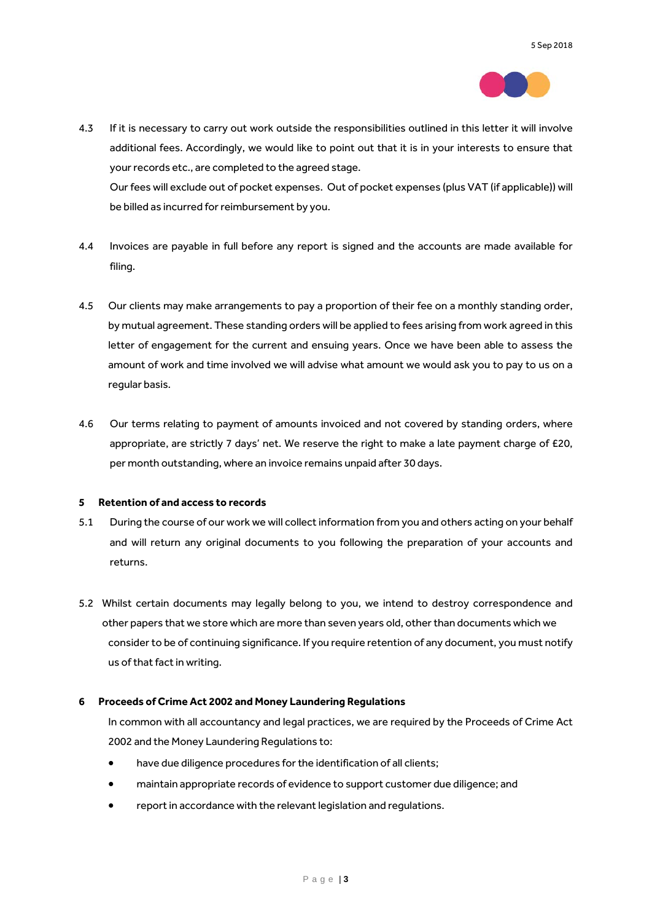

- 4.3 If it is necessary to carry out work outside the responsibilities outlined in this letter it will involve additional fees. Accordingly, we would like to point out that it is in your interests to ensure that your records etc., are completed to the agreed stage. Our fees will exclude out of pocket expenses. Out of pocket expenses (plus VAT (if applicable)) will be billed as incurred for reimbursement by you.
- 4.4 Invoices are payable in full before any report is signed and the accounts are made available for filing.
- 4.5 Our clients may make arrangements to pay a proportion of their fee on a monthly standing order, by mutual agreement. These standing orders will be applied to fees arising from work agreed in this letter of engagement for the current and ensuing years. Once we have been able to assess the amount of work and time involved we will advise what amount we would ask you to pay to us on a regular basis.
- 4.6 Our terms relating to payment of amounts invoiced and not covered by standing orders, where appropriate, are strictly 7 days' net. We reserve the right to make a late payment charge of £20, per month outstanding, where an invoice remains unpaid after 30 days.

# **5 Retention of and access to records**

- 5.1 During the course of our work we will collect information from you and others acting on your behalf and will return any original documents to you following the preparation of your accounts and returns.
- 5.2 Whilst certain documents may legally belong to you, we intend to destroy correspondence and other papers that we store which are more than seven years old, other than documents which we consider to be of continuing significance. If you require retention of any document, you must notify us of that fact in writing.

## **6 Proceeds of Crime Act 2002 and Money Laundering Regulations**

In common with all accountancy and legal practices, we are required by the Proceeds of Crime Act 2002 and the Money Laundering Regulations to:

- have due diligence procedures for the identification of all clients;
- maintain appropriate records of evidence to support customer due diligence; and
- report in accordance with the relevant legislation and regulations.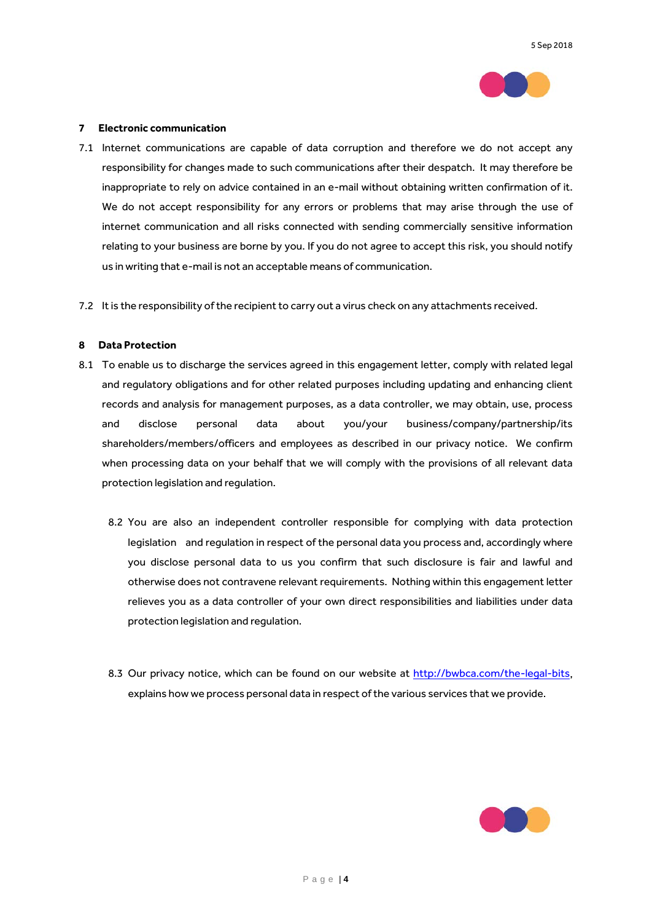

#### **7 Electronic communication**

- 7.1 Internet communications are capable of data corruption and therefore we do not accept any responsibility for changes made to such communications after their despatch. It may therefore be inappropriate to rely on advice contained in an e-mail without obtaining written confirmation of it. We do not accept responsibility for any errors or problems that may arise through the use of internet communication and all risks connected with sending commercially sensitive information relating to your business are borne by you. If you do not agree to accept this risk, you should notify us in writing that e-mail is not an acceptable means of communication.
- 7.2 It is the responsibility of the recipient to carry out a virus check on any attachments received.

### **8 Data Protection**

- 8.1 To enable us to discharge the services agreed in this engagement letter, comply with related legal and regulatory obligations and for other related purposes including updating and enhancing client records and analysis for management purposes, as a data controller, we may obtain, use, process and disclose personal data about you/your business/company/partnership/its shareholders/members/officers and employees as described in our privacy notice. We confirm when processing data on your behalf that we will comply with the provisions of all relevant data protection legislation and regulation.
	- 8.2 You are also an independent controller responsible for complying with data protection legislation and regulation in respect of the personal data you process and, accordingly where you disclose personal data to us you confirm that such disclosure is fair and lawful and otherwise does not contravene relevant requirements. Nothing within this engagement letter relieves you as a data controller of your own direct responsibilities and liabilities under data protection legislation and regulation.
	- 8.3 Our privacy notice, which can be found on our website at [http://bwbca.com/the-legal-bits,](http://bwbca.uk/bwb-west-byfleet-surrey-accountants-services-tcs/) explains how we process personal data in respect of the various services that we provide.

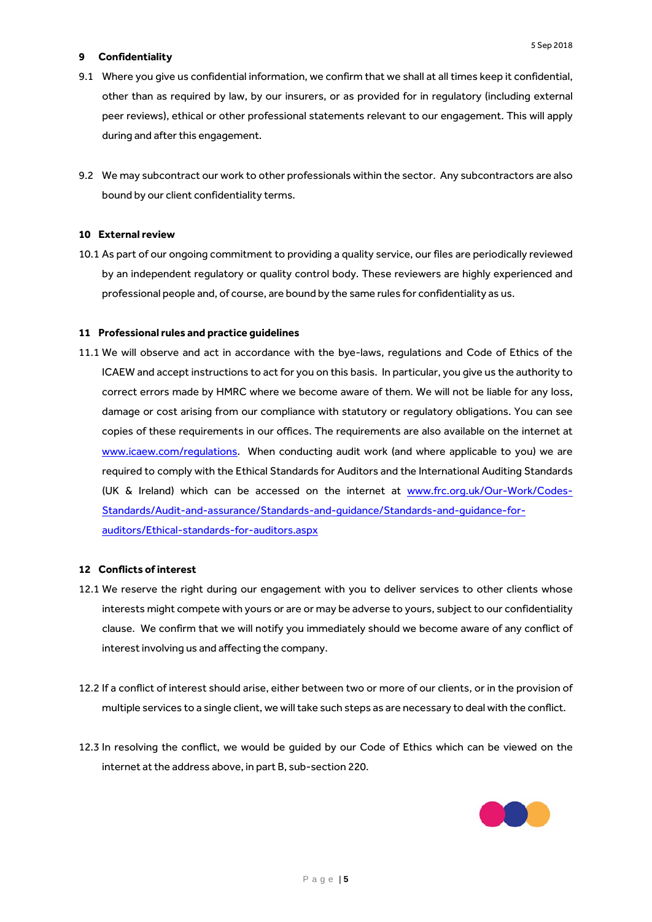#### **9 Confidentiality**

- 9.1 Where you give us confidential information, we confirm that we shall at all times keep it confidential, other than as required by law, by our insurers, or as provided for in regulatory (including external peer reviews), ethical or other professional statements relevant to our engagement. This will apply during and after this engagement.
- 9.2 We may subcontract our work to other professionals within the sector. Any subcontractors are also bound by our client confidentiality terms.

# **10 External review**

10.1 As part of our ongoing commitment to providing a quality service, our files are periodically reviewed by an independent regulatory or quality control body. These reviewers are highly experienced and professional people and, of course, are bound by the same rules for confidentiality as us.

#### **11 Professional rules and practice guidelines**

11.1 We will observe and act in accordance with the bye-laws, regulations and Code of Ethics of the ICAEW and accept instructions to act for you on this basis. In particular, you give us the authority to correct errors made by HMRC where we become aware of them. We will not be liable for any loss, damage or cost arising from our compliance with statutory or regulatory obligations. You can see copies of these requirements in our offices. The requirements are also available on the internet at [www.icaew.com/regulations.](http://www.icaew.com/regulations) When conducting audit work (and where applicable to you) we are required to comply with the Ethical Standards for Auditors and the International Auditing Standards (UK & Ireland) which can be accessed on the internet at [www.frc.org.uk/Our-Work/Codes-](http://www.frc.org.uk/Our-Work/Codes-Standards/Audit-and-assurance/Standards-and-guidance/Standards-and-guidance-for-auditors/Ethical-standards-for-auditors.aspx)[Standards/Audit-and-assurance/Standards-and-guidance/Standards-and-guidance-for](http://www.frc.org.uk/Our-Work/Codes-Standards/Audit-and-assurance/Standards-and-guidance/Standards-and-guidance-for-auditors/Ethical-standards-for-auditors.aspx)[auditors/Ethical-standards-for-auditors.aspx](http://www.frc.org.uk/Our-Work/Codes-Standards/Audit-and-assurance/Standards-and-guidance/Standards-and-guidance-for-auditors/Ethical-standards-for-auditors.aspx)

#### **12 Conflicts of interest**

- 12.1 We reserve the right during our engagement with you to deliver services to other clients whose interests might compete with yours or are or may be adverse to yours, subject to our confidentiality clause. We confirm that we will notify you immediately should we become aware of any conflict of interest involving us and affecting the company.
- 12.2 If a conflict of interest should arise, either between two or more of our clients, or in the provision of multiple services to a single client, we will take such steps as are necessary to deal with the conflict.
- 12.3 In resolving the conflict, we would be guided by our Code of Ethics which can be viewed on the internet at the address above, in part B, sub-section 220.